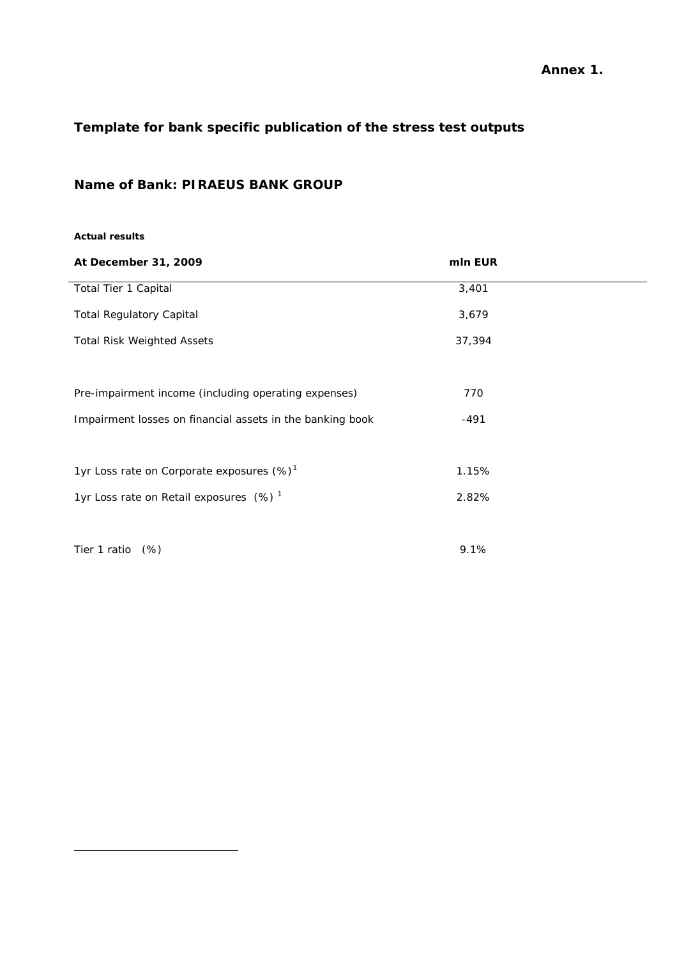## **Annex 1.**

# **Template for bank specific publication of the stress test outputs**

## **Name of Bank: PIRAEUS BANK GROUP**

#### **Actual results**

<span id="page-0-0"></span>

| At December 31, 2009                                      | mln EUR |  |
|-----------------------------------------------------------|---------|--|
| Total Tier 1 Capital                                      | 3,401   |  |
| <b>Total Regulatory Capital</b>                           | 3,679   |  |
| <b>Total Risk Weighted Assets</b>                         | 37,394  |  |
| Pre-impairment income (including operating expenses)      | 770     |  |
| Impairment losses on financial assets in the banking book | $-491$  |  |
| 1yr Loss rate on Corporate exposures (%) <sup>1</sup>     | 1.15%   |  |
| 1yr Loss rate on Retail exposures (%) <sup>1</sup>        | 2.82%   |  |
| Tier 1 ratio (%)                                          | 9.1%    |  |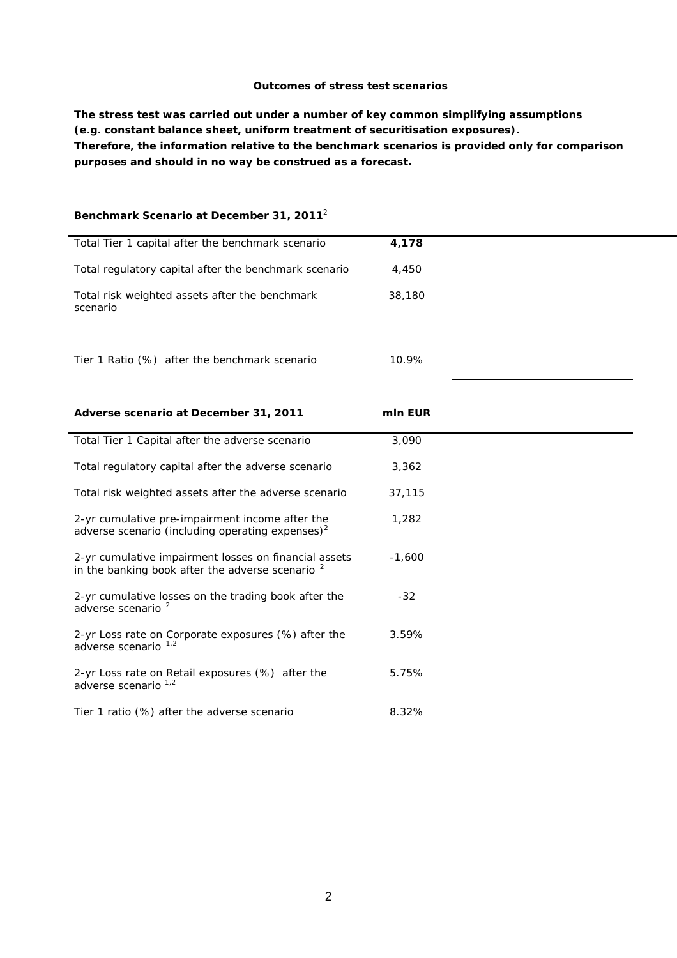#### **Outcomes of stress test scenarios**

**The stress test was carried out under a number of key common simplifying assumptions (e.g. constant balance sheet, uniform treatment of securitisation exposures). Therefore, the information relative to the benchmark scenarios is provided only for comparison purposes and should in no way be construed as a forecast.** 

### **Benchmark Scenario at December 31, 2011**<sup>2</sup>

| Total Tier 1 capital after the benchmark scenario                                                                    | 4,178    |  |
|----------------------------------------------------------------------------------------------------------------------|----------|--|
| Total regulatory capital after the benchmark scenario                                                                | 4,450    |  |
| Total risk weighted assets after the benchmark<br>scenario                                                           | 38,180   |  |
| Tier 1 Ratio (%) after the benchmark scenario                                                                        | 10.9%    |  |
| Adverse scenario at December 31, 2011                                                                                | mln EUR  |  |
| Total Tier 1 Capital after the adverse scenario                                                                      | 3,090    |  |
| Total regulatory capital after the adverse scenario                                                                  | 3,362    |  |
| Total risk weighted assets after the adverse scenario                                                                | 37,115   |  |
| 2-yr cumulative pre-impairment income after the<br>adverse scenario (including operating expenses) $2$               | 1,282    |  |
| 2-yr cumulative impairment losses on financial assets<br>in the banking book after the adverse scenario <sup>2</sup> | $-1,600$ |  |
| 2-yr cumulative losses on the trading book after the<br>adverse scenario <sup>2</sup>                                | $-32$    |  |
| 2-yr Loss rate on Corporate exposures (%) after the<br>adverse scenario                                              | 3.59%    |  |
| 2-yr Loss rate on Retail exposures (%) after the<br>adverse scenario 1,2                                             | 5.75%    |  |
| Tier 1 ratio (%) after the adverse scenario                                                                          | 8.32%    |  |